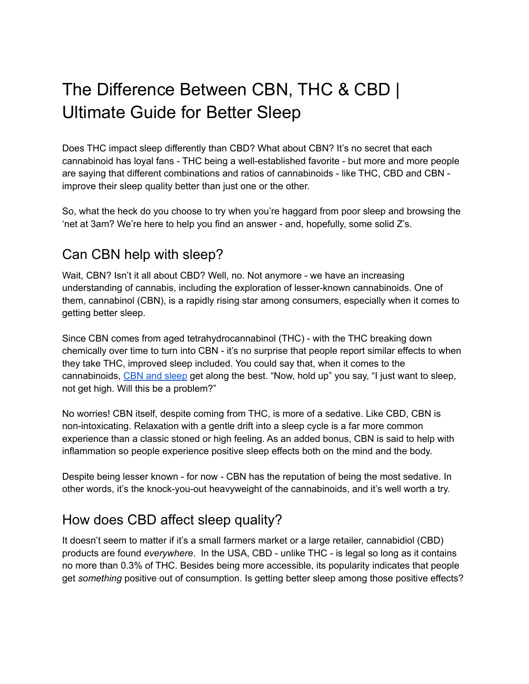# The Difference Between CBN, THC & CBD | Ultimate Guide for Better Sleep

Does THC impact sleep differently than CBD? What about CBN? It's no secret that each cannabinoid has loyal fans - THC being a well-established favorite - but more and more people are saying that different combinations and ratios of cannabinoids - like THC, CBD and CBN improve their sleep quality better than just one or the other.

So, what the heck do you choose to try when you're haggard from poor sleep and browsing the 'net at 3am? We're here to help you find an answer - and, hopefully, some solid Z's.

## Can CBN help with sleep?

Wait, CBN? Isn't it all about CBD? Well, no. Not anymore - we have an increasing understanding of cannabis, including the exploration of lesser-known cannabinoids. One of them, cannabinol (CBN), is a rapidly rising star among consumers, especially when it comes to getting better sleep.

Since CBN comes from aged tetrahydrocannabinol (THC) - with the THC breaking down chemically over time to turn into CBN - it's no surprise that people report similar effects to when they take THC, improved sleep included. You could say that, when it comes to the cannabinoids, CBN and [sleep](https://pantryfoodco.com/blogs/news/edibles-sleep) get along the best. "Now, hold up" you say, "I just want to sleep, not get high. Will this be a problem?"

No worries! CBN itself, despite coming from THC, is more of a sedative. Like CBD, CBN is non-intoxicating. Relaxation with a gentle drift into a sleep cycle is a far more common experience than a classic stoned or high feeling. As an added bonus, CBN is said to help with inflammation so people experience positive sleep effects both on the mind and the body.

Despite being lesser known - for now - CBN has the reputation of being the most sedative. In other words, it's the knock-you-out heavyweight of the cannabinoids, and it's well worth a try.

## How does CBD affect sleep quality?

It doesn't seem to matter if it's a small farmers market or a large retailer, cannabidiol (CBD) products are found *everywhere*. In the USA, CBD - unlike THC - is legal so long as it contains no more than 0.3% of THC. Besides being more accessible, its popularity indicates that people get *something* positive out of consumption. Is getting better sleep among those positive effects?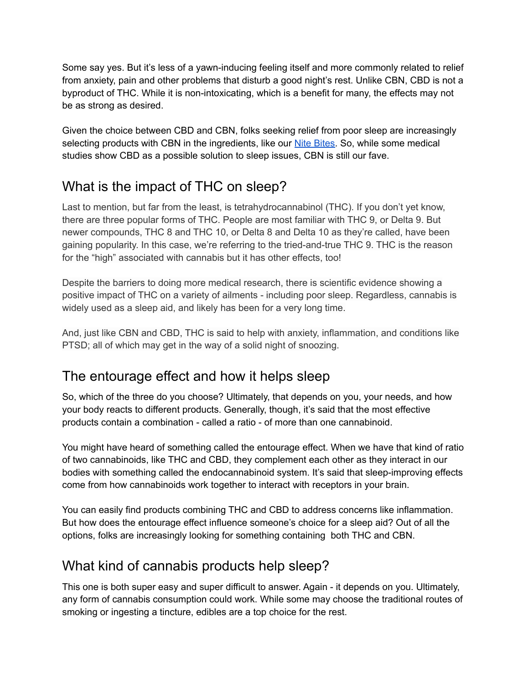Some say yes. But it's less of a yawn-inducing feeling itself and more commonly related to relief from anxiety, pain and other problems that disturb a good night's rest. Unlike CBN, CBD is not a byproduct of THC. While it is non-intoxicating, which is a benefit for many, the effects may not be as strong as desired.

Given the choice between CBD and CBN, folks seeking relief from poor sleep are increasingly selecting products with CBN in the ingredients, like our Nite [Bites.](https://pantryfoodco.com/pages/nite-bites) So, while some medical studies show CBD as a possible solution to sleep issues, CBN is still our fave.

## What is the impact of THC on sleep?

Last to mention, but far from the least, is tetrahydrocannabinol (THC). If you don't yet know, there are three popular forms of THC. People are most familiar with THC 9, or Delta 9. But newer compounds, THC 8 and THC 10, or Delta 8 and Delta 10 as they're called, have been gaining popularity. In this case, we're referring to the tried-and-true THC 9. THC is the reason for the "high" associated with cannabis but it has other effects, too!

Despite the barriers to doing more medical research, there is scientific evidence showing a positive impact of THC on a variety of ailments - including poor sleep. Regardless, cannabis is widely used as a sleep aid, and likely has been for a very long time.

And, just like CBN and CBD, THC is said to help with anxiety, inflammation, and conditions like PTSD; all of which may get in the way of a solid night of snoozing.

## The entourage effect and how it helps sleep

So, which of the three do you choose? Ultimately, that depends on you, your needs, and how your body reacts to different products. Generally, though, it's said that the most effective products contain a combination - called a ratio - of more than one cannabinoid.

You might have heard of something called the entourage effect. When we have that kind of ratio of two cannabinoids, like THC and CBD, they complement each other as they interact in our bodies with something called the endocannabinoid system. It's said that sleep-improving effects come from how cannabinoids work together to interact with receptors in your brain.

You can easily find products combining THC and CBD to address concerns like inflammation. But how does the entourage effect influence someone's choice for a sleep aid? Out of all the options, folks are increasingly looking for something containing both THC and CBN.

## What kind of cannabis products help sleep?

This one is both super easy and super difficult to answer. Again - it depends on you. Ultimately, any form of cannabis consumption could work. While some may choose the traditional routes of smoking or ingesting a tincture, edibles are a top choice for the rest.